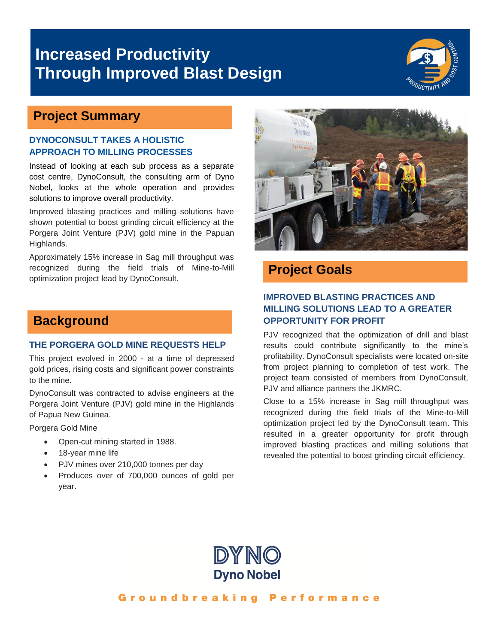# **Increased Productivity Through Improved Blast Design**



## **Project Summary**

#### **DYNOCONSULT TAKES A HOLISTIC APPROACH TO MILLING PROCESSES**

Instead of looking at each sub process as a separate cost centre, DynoConsult, the consulting arm of Dyno Nobel, looks at the whole operation and provides solutions to improve overall productivity.

Improved blasting practices and milling solutions have shown potential to boost grinding circuit efficiency at the Porgera Joint Venture (PJV) gold mine in the Papuan Highlands.

Approximately 15% increase in Sag mill throughput was recognized during the field trials of Mine-to-Mill optimization project lead by DynoConsult.



## **Project Goals**

### **IMPROVED BLASTING PRACTICES AND MILLING SOLUTIONS LEAD TO A GREATER OPPORTUNITY FOR PROFIT**

PJV recognized that the optimization of drill and blast results could contribute significantly to the mine's profitability. DynoConsult specialists were located on-site from project planning to completion of test work. The project team consisted of members from DynoConsult, PJV and alliance partners the JKMRC.

Close to a 15% increase in Sag mill throughput was recognized during the field trials of the Mine-to-Mill optimization project led by the DynoConsult team. This resulted in a greater opportunity for profit through improved blasting practices and milling solutions that revealed the potential to boost grinding circuit efficiency.

# DYNO **Dyno Nobel**

### Groundbreaking Performance

## **Background**

#### **THE PORGERA GOLD MINE REQUESTS HELP**

This project evolved in 2000 - at a time of depressed gold prices, rising costs and significant power constraints to the mine.

DynoConsult was contracted to advise engineers at the Porgera Joint Venture (PJV) gold mine in the Highlands of Papua New Guinea.

Porgera Gold Mine

- Open-cut mining started in 1988.
- 18-year mine life
- PJV mines over 210,000 tonnes per day
- Produces over of 700,000 ounces of gold per year.